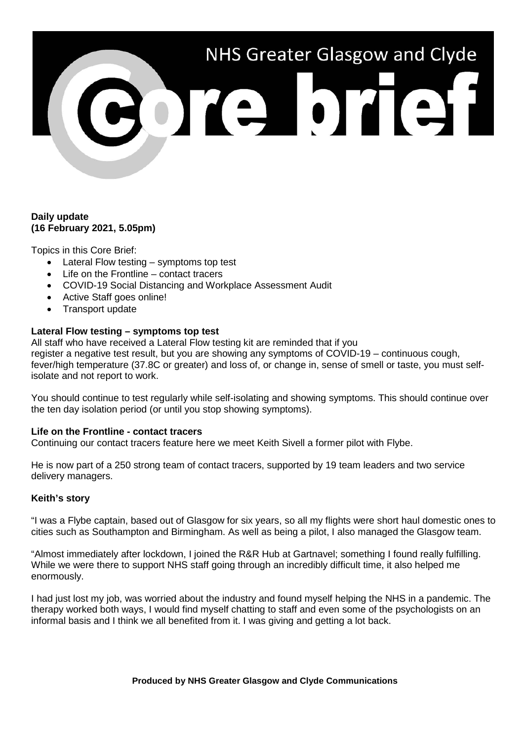# NHS Greater Glasgow and Clyde

## **Daily update (16 February 2021, 5.05pm)**

Topics in this Core Brief:

- Lateral Flow testing symptoms top test
- Life on the Frontline contact tracers
- COVID-19 Social Distancing and Workplace Assessment Audit
- Active Staff goes online!
- Transport update

# **Lateral Flow testing – symptoms top test**

All staff who have received a Lateral Flow testing kit are reminded that if you register a negative test result, but you are showing any symptoms of COVID-19 – continuous cough, fever/high temperature (37.8C or greater) and loss of, or change in, sense of smell or taste, you must selfisolate and not report to work.

You should continue to test regularly while self-isolating and showing symptoms. This should continue over the ten day isolation period (or until you stop showing symptoms).

### **Life on the Frontline - contact tracers**

Continuing our contact tracers feature here we meet Keith Sivell a former pilot with Flybe.

He is now part of a 250 strong team of contact tracers, supported by 19 team leaders and two service delivery managers.

### **Keith's story**

"I was a Flybe captain, based out of Glasgow for six years, so all my flights were short haul domestic ones to cities such as Southampton and Birmingham. As well as being a pilot, I also managed the Glasgow team.

"Almost immediately after lockdown, I joined the R&R Hub at Gartnavel; something I found really fulfilling. While we were there to support NHS staff going through an incredibly difficult time, it also helped me enormously.

I had just lost my job, was worried about the industry and found myself helping the NHS in a pandemic. The therapy worked both ways, I would find myself chatting to staff and even some of the psychologists on an informal basis and I think we all benefited from it. I was giving and getting a lot back.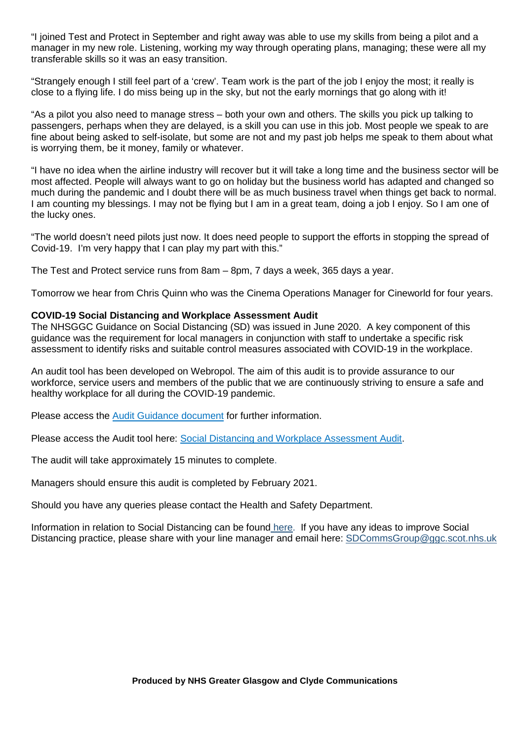"I joined Test and Protect in September and right away was able to use my skills from being a pilot and a manager in my new role. Listening, working my way through operating plans, managing; these were all my transferable skills so it was an easy transition.

"Strangely enough I still feel part of a 'crew'. Team work is the part of the job I enjoy the most; it really is close to a flying life. I do miss being up in the sky, but not the early mornings that go along with it!

"As a pilot you also need to manage stress – both your own and others. The skills you pick up talking to passengers, perhaps when they are delayed, is a skill you can use in this job. Most people we speak to are fine about being asked to self-isolate, but some are not and my past job helps me speak to them about what is worrying them, be it money, family or whatever.

"I have no idea when the airline industry will recover but it will take a long time and the business sector will be most affected. People will always want to go on holiday but the business world has adapted and changed so much during the pandemic and I doubt there will be as much business travel when things get back to normal. I am counting my blessings. I may not be flying but I am in a great team, doing a job I enjoy. So I am one of the lucky ones.

"The world doesn't need pilots just now. It does need people to support the efforts in stopping the spread of Covid-19. I'm very happy that I can play my part with this."

The Test and Protect service runs from 8am – 8pm, 7 days a week, 365 days a year.

Tomorrow we hear from Chris Quinn who was the Cinema Operations Manager for Cineworld for four years.

### **COVID-19 Social Distancing and Workplace Assessment Audit**

The NHSGGC Guidance on Social Distancing (SD) was issued in June 2020. A key component of this guidance was the requirement for local managers in conjunction with staff to undertake a specific risk assessment to identify risks and suitable control measures associated with COVID-19 in the workplace.

An audit tool has been developed on Webropol. The aim of this audit is to provide assurance to our workforce, service users and members of the public that we are continuously striving to ensure a safe and healthy workplace for all during the COVID-19 pandemic.

Please access the [Audit Guidance document](https://www.nhsggc.org.uk/media/264335/covid19_staff_socdist_risk_assess_audit_guidance.doc) for further information.

Please access the Audit tool here: [Social Distancing and Workplace Assessment Audit.](https://link.webropolsurveys.com/Participation/Public/56b08d59-6272-4100-b5ab-23fd2512580e?displayId=Uni2071081)

The audit will take approximately 15 minutes to complete.

Managers should ensure this audit is completed by February 2021.

Should you have any queries please contact the Health and Safety Department.

Information in relation to Social Distancing can be found [here.](https://www.nhsggc.org.uk/your-health/health-issues/covid-19-coronavirus/for-nhsggc-staff/social-distancing-in-the-workplace/) If you have any ideas to improve Social Distancing practice, please share with your line manager and email here: [SDCommsGroup@ggc.scot.nhs.uk](mailto:SDCommsGroup@ggc.scot.nhs.uk)